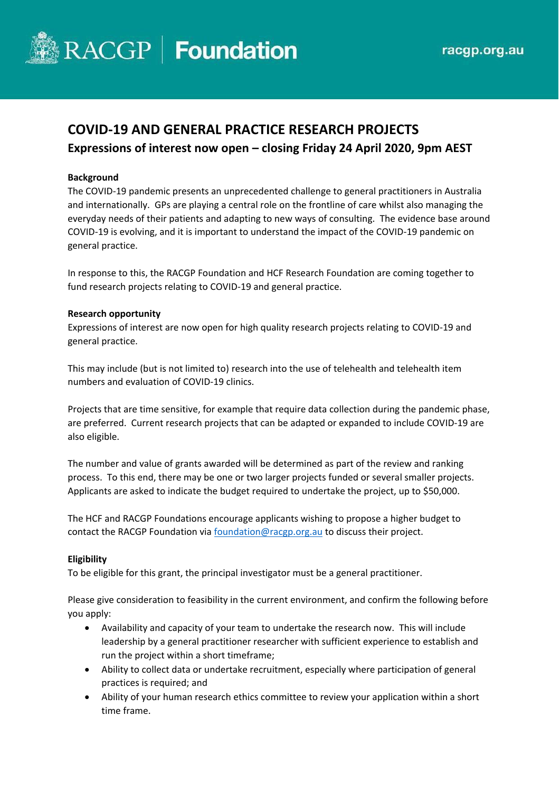

# **COVID-19 AND GENERAL PRACTICE RESEARCH PROJECTS Expressions of interest now open – closing Friday 24 April 2020, 9pm AEST**

### **Background**

The COVID-19 pandemic presents an unprecedented challenge to general practitioners in Australia and internationally. GPs are playing a central role on the frontline of care whilst also managing the everyday needs of their patients and adapting to new ways of consulting. The evidence base around COVID-19 is evolving, and it is important to understand the impact of the COVID-19 pandemic on general practice.

In response to this, the RACGP Foundation and HCF Research Foundation are coming together to fund research projects relating to COVID-19 and general practice.

# **Research opportunity**

Expressions of interest are now open for high quality research projects relating to COVID-19 and general practice.

This may include (but is not limited to) research into the use of telehealth and telehealth item numbers and evaluation of COVID-19 clinics.

Projects that are time sensitive, for example that require data collection during the pandemic phase, are preferred. Current research projects that can be adapted or expanded to include COVID-19 are also eligible.

The number and value of grants awarded will be determined as part of the review and ranking process. To this end, there may be one or two larger projects funded or several smaller projects. Applicants are asked to indicate the budget required to undertake the project, up to \$50,000.

The HCF and RACGP Foundations encourage applicants wishing to propose a higher budget to contact the RACGP Foundation vi[a foundation@racgp.org.au](mailto:foundation@racgp.org.au) to discuss their project.

### **Eligibility**

To be eligible for this grant, the principal investigator must be a general practitioner.

Please give consideration to feasibility in the current environment, and confirm the following before you apply:

- Availability and capacity of your team to undertake the research now. This will include leadership by a general practitioner researcher with sufficient experience to establish and run the project within a short timeframe;
- Ability to collect data or undertake recruitment, especially where participation of general practices is required; and
- Ability of your human research ethics committee to review your application within a short time frame.